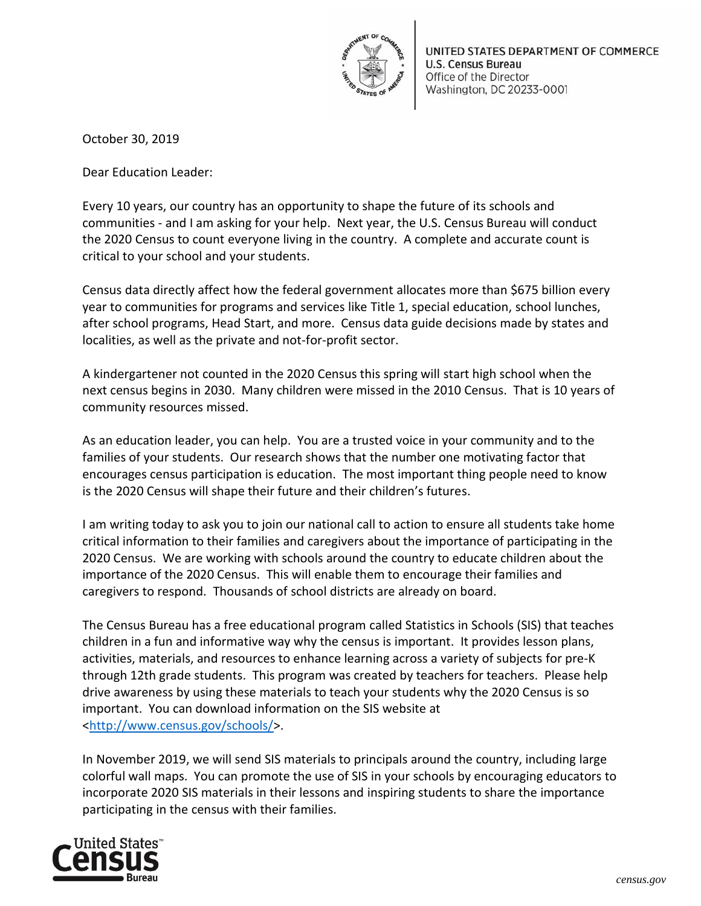

October 30, 2019

Dear Education Leader:

Every 10 years, our country has an opportunity to shape the future of its schools and communities - and I am asking for your help. Next year, the U.S. Census Bureau will conduct the 2020 Census to count everyone living in the country. A complete and accurate count is critical to your school and your students.

Census data directly affect how the federal government allocates more than \$675 billion every year to communities for programs and services like Title 1, special education, school lunches, after school programs, Head Start, and more. Census data guide decisions made by states and localities, as well as the private and not-for-profit sector.

A kindergartener not counted in the 2020 Census this spring will start high school when the next census begins in 2030. Many children were missed in the 2010 Census. That is 10 years of community resources missed.

As an education leader, you can help. You are a trusted voice in your community and to the families of your students. Our research shows that the number one motivating factor that encourages census participation is education. The most important thing people need to know is the 2020 Census will shape their future and their children's futures.

I am writing today to ask you to join our national call to action to ensure all students take home critical information to their families and caregivers about the importance of participating in the 2020 Census. We are working with schools around the country to educate children about the importance of the 2020 Census. This will enable them to encourage their families and caregivers to respond. Thousands of school districts are already on board.

The Census Bureau has a free educational program called Statistics in Schools (SIS) that teaches children in a fun and informative way why the census is important. It provides lesson plans, activities, materials, and resources to enhance learning across a variety of subjects for pre-K through 12th grade students. This program was created by teachers for teachers. Please help drive awareness by using these materials to teach your students why the 2020 Census is so important. You can download information on the SIS website at [<http://www.census.gov/schools/>](http://www.census.gov/schools/).

In November 2019, we will send SIS materials to principals around the country, including large colorful wall maps. You can promote the use of SIS in your schools by encouraging educators to incorporate 2020 SIS materials in their lessons and inspiring students to share the importance participating in the census with their families.